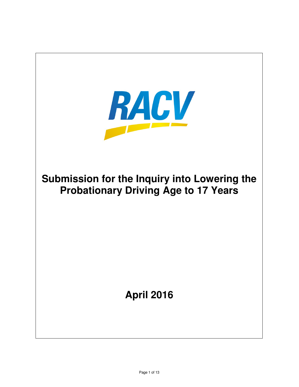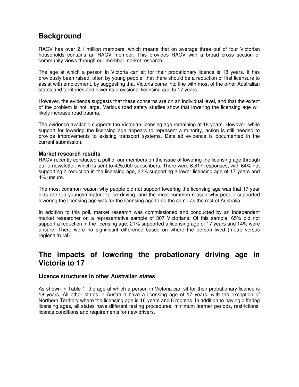# **Background**

RACV has over 2.1 million members, which means that on average three out of four Victorian households contains an RACV member. This provides RACV with a broad cross section of community views through our member market research.

The age at which a person in Victoria can sit for their probationary licence is 18 years. It has previously been raised, often by young people, that there should be a reduction of first licensure to assist with employment, by suggesting that Victoria come into line with most of the other Australian states and territories and lower its provisional licensing age to 17 years.

However, the evidence suggests that these concerns are on an individual level, and that the extent of the problem is not large. Various road safety studies show that lowering the licensing age will likely increase road trauma.

The evidence available supports the Victorian licensing age remaining at 18 years. However, while support for lowering the licensing age appears to represent a minority, action is still needed to provide improvements to existing transport systems. Detailed evidence is documented in the current submission.

## **Market research results**

RACV recently conducted a poll of our members on the issue of lowering the licensing age through our e-newsletter, which is sent to 425,000 subscribers. There were 6,817 responses, with 64% not supporting a reduction in the licensing age, 32% supporting a lower licensing age of 17 years and 4% unsure.

The most common reason why people did not support lowering the licensing age was that 17 year olds are too young/immature to be driving, and the most common reason why people supported lowering the licensing age was for the licensing age to be the same as the rest of Australia.

In addition to this poll, market research was commissioned and conducted by an independent market researcher on a representative sample of 307 Victorians. Of this sample, 65% did not support a reduction in the licensing age, 21% supported a licensing age of 17 years and 14% were unsure. There were no significant difference based on where the person lived (metro versus regional/rural)

# **The impacts of lowering the probationary driving age in Victoria to 17**

### **Licence structures in other Australian states**

As shown in Table 1, the age at which a person in Victoria can sit for their probationary licence is 18 years. All other states in Australia have a licensing age of 17 years, with the exception of Northern Territory where the licensing age is 16 years and 6 months. In addition to having differing licensing ages, all states have different testing procedures, minimum learner periods, restrictions, licence conditions and requirements for new drivers.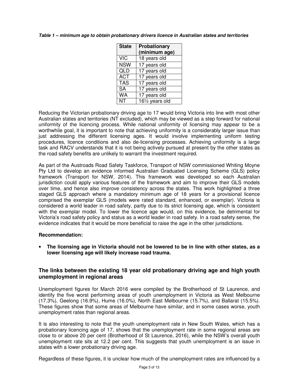#### **Table 1 – minimum age to obtain probationary drivers licence in Australian states and territories**

| <b>State</b> | Probationary    |
|--------------|-----------------|
|              | (minimum age)   |
| <b>VIC</b>   | 18 years old    |
| <b>NSW</b>   | 17 years old    |
| QLD          | 17 years old    |
| <b>ACT</b>   | 17 years old    |
| <b>TAS</b>   | 17 years old    |
| <b>SA</b>    | 17 years old    |
| <b>WA</b>    | 17 years old    |
| NΤ           | 161/2 years old |

Reducing the Victorian probationary driving age to 17 would bring Victoria into line with most other Australian states and territories (NT excluded), which may be viewed as a step forward for national uniformity of the licencing process. While national uniformity of licensing may appear to be a worthwhile goal, it is important to note that achieving uniformity is a considerably larger issue than just addressing the different licensing ages. It would involve implementing uniform testing procedures, licence conditions and also de-licensing processes. Achieving uniformity is a large task and RACV understands that it is not being actively pursued at present by the other states as the road safety benefits are unlikely to warrant the investment required.

As part of the Austroads Road Safety Taskforce, Transport of NSW commissioned Whiting Moyne Pty Ltd to develop an evidence informed Australian Graduated Licensing Scheme (GLS) policy framework (Transport for NSW, 2014). This framework was developed so each Australian jurisdiction could apply various features of the framework and aim to improve their GLS models over time, and hence also improve consistency across the states. This work highlighted a three staged GLS approach where a mandatory minimum age of 18 years for a provisional licence comprised the exemplar GLS (models were rated standard, enhanced, or exemplar). Victoria is considered a world leader in road safety, partly due to its strict licensing age, which is consistent with the exemplar model. To lower the licence age would, on this evidence, be detrimental for Victoria's road safety policy and status as a world leader in road safety. In a road safety sense, the evidence indicates that it would be more beneficial to raise the age in the other jurisdictions.

#### **Recommendation:**

• **The licensing age in Victoria should not be lowered to be in line with other states, as a lower licensing age will likely increase road trauma.** 

# **The links between the existing 18 year old probationary driving age and high youth unemployment in regional areas**

Unemployment figures for March 2016 were compiled by the Brotherhood of St Laurence, and identify the five worst performing areas of youth unemployment in Victoria as West Melbourne (17.3%), Geelong (16.9%), Hume (16.0%), North East Melbourne (15.7%), and Ballarat (15.5%). These figures show that some areas of Melbourne have similar, and in some cases worse, youth unemployment rates than regional areas.

It is also interesting to note that the youth unemployment rate in New South Wales, which has a probationary licencing age of 17, shows that the unemployment rate in some regional areas are close to or above 20 per cent (Brotherhood of St Laurence, 2016), while the NSW's overall youth unemployment rate sits at 12.2 per cent. This suggests that youth unemployment is an issue in states with a lower probationary driving age.

Regardless of these figures, it is unclear how much of the unemployment rates are influenced by a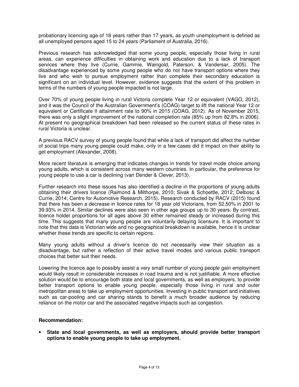probationary licencing age of 18 years rather than 17 years, as youth unemployment is defined as all unemployed persons aged 15 to 24 years (Parliament of Australia, 2016).

Previous research has acknowledged that some young people, especially those living in rural areas, can experience difficulties in obtaining work and education due to a lack of transport services where they live (Currie, Gammie, Waingold, Paterson, & Vandersar, 2005). The disadvantage experienced by some young people who do not have transport options where they live and who wish to pursue employment rather than complete their secondary education is significant on an individual level. However, evidence suggests that the extent of this problem in terms of the numbers of young people impacted is not large.

Over 70% of young people living in rural Victoria complete Year 12 or equivalent (VAGO, 2012), and it was the Council of the Australian Government's (COAG) target to lift the national Year 12 or equivalent or Certificate II attainment rate to 90% in 2015 (COAG, 2012). As of November 2015, there was only a slight improvement of the national completion rate (85% up from 82.8% in 2006). At present no geographical breakdown had been released so the current status of these rates in rural Victoria is unclear.

A previous RACV survey of young people found that while a lack of transport did affect the number of social trips many young people could make, only in a few cases did it impact on their ability to get employment (Alexander, 2008).

More recent literature is emerging that indicates changes in trends for travel mode choice among young adults, which is consistent across many western countries. In particular, the preference for young people to use a car is declining (van Dender & Clever, 2013).

Further research into these issues has also identified a decline in the proportions of young adults obtaining their drivers licence (Raimond & Milthorpe, 2010; Sivak & Schoettle, 2012; Delbosc & Currie, 2014; Centre for Automotive Research, 2015). Research conducted by RACV (2015) found that there has been a decrease in licence rates for 18 year old Victorians, from 52.50% in 2001 to 39.93% in 2014. Similar declines were also seen in other age groups up to 30 years. By contrast, licence holder proportions for all ages above 30 either remained steady or increased during this time. This suggests that many young people are voluntarily delaying licensure. It is important to note that this data is Victorian wide and no geographical breakdown is available, hence it is unclear whether these trends are specific to certain regions.

Many young adults without a driver's licence do not necessarily view their situation as a disadvantage, but rather a reflection of their active travel modes and various public transport choices that better suit their needs.

Lowering the licence age to possibly assist a very small number of young people gain employment would likely result in considerable increases in road trauma and is not justifiable. A more effective solution would be to encourage both state and local governments, as well as employers, to provide better transport options to enable young people, especially those living in rural and outer metropolitan areas to take up employment opportunities. Investing in public transport and initiatives such as car-pooling and car sharing stands to benefit a much broader audience by reducing reliance on the motor car and the associated negative impacts such as congestion.

## **Recommendation:**

• **State and local governments, as well as employers, should provide better transport options to enable young people to take up employment.**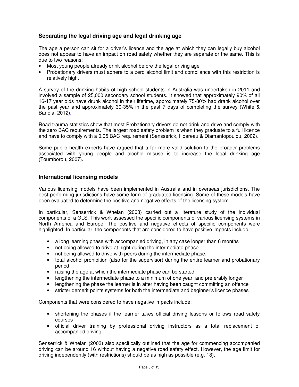# **Separating the legal driving age and legal drinking age**

The age a person can sit for a driver's licence and the age at which they can legally buy alcohol does not appear to have an impact on road safety whether they are separate or the same. This is due to two reasons:

- Most young people already drink alcohol before the legal driving age
- Probationary drivers must adhere to a zero alcohol limit and compliance with this restriction is relatively high.

A survey of the drinking habits of high school students in Australia was undertaken in 2011 and involved a sample of 25,000 secondary school students. It showed that approximately 90% of all 16-17 year olds have drunk alcohol in their lifetime, approximately 75-80% had drank alcohol over the past year and approximately 30-35% in the past 7 days of completing the survey (White & Bariola, 2012).

Road trauma statistics show that most Probationary drivers do not drink and drive and comply with the zero BAC requirements. The largest road safety problem is when they graduate to a full licence and have to comply with a 0.05 BAC requirement (Sensserick, Hoareau & Diamantopoulou, 2002).

Some public health experts have argued that a far more valid solution to the broader problems associated with young people and alcohol misuse is to increase the legal drinking age (Toumborou, 2007).

# **International licensing models**

Various licensing models have been implemented in Australia and in overseas jurisdictions. The best performing jurisdictions have some form of graduated licensing. Some of these models have been evaluated to determine the positive and negative effects of the licensing system.

In particular, Senserrick & Whelan (2003) carried out a literature study of the individual components of a GLS. This work assessed the specific components of various licensing systems in North America and Europe. The positive and negative effects of specific components were highlighted. In particular, the components that are considered to have positive impacts include:

- a long learning phase with accompanied driving, in any case longer than 6 months
- not being allowed to drive at night during the intermediate phase
- not being allowed to drive with peers during the intermediate phase.
- total alcohol prohibition (also for the supervisor) during the entire learner and probationary period
- raising the age at which the intermediate phase can be started
- lengthening the intermediate phase to a minimum of one year, and preferably longer
- lengthening the phase the learner is in after having been caught committing an offence
- stricter demerit points systems for both the intermediate and beginner's licence phases

Components that were considered to have negative impacts include:

- shortening the phases if the learner takes official driving lessons or follows road safety courses
- official driver training by professional driving instructors as a total replacement of accompanied driving

Senserrick & Whelan (2003) also specifically outlined that the age for commencing accompanied driving can be around 16 without having a negative road safety effect. However, the age limit for driving independently (with restrictions) should be as high as possible (e.g. 18).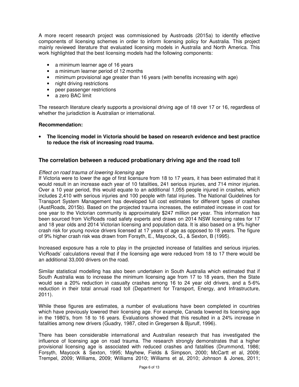A more recent research project was commissioned by Austroads (2015a) to identify effective components of licensing schemes in order to inform licensing policy for Australia. This project mainly reviewed literature that evaluated licensing models in Australia and North America. This work highlighted that the best licensing models had the following components:

- a minimum learner age of 16 years
- a minimum learner period of 12 months
- minimum provisional age greater than 16 years (with benefits increasing with age)
- night driving restrictions
- peer passenger restrictions
- a zero BAC limit

The research literature clearly supports a provisional driving age of 18 over 17 or 16, regardless of whether the jurisdiction is Australian or international.

#### **Recommendation:**

• **The licencing model in Victoria should be based on research evidence and best practice to reduce the risk of increasing road trauma.** 

#### **The correlation between a reduced probationary driving age and the road toll**

#### *Effect on road trauma of lowering licensing age*

If Victoria were to lower the age of first licensure from 18 to 17 years, it has been estimated that it would result in an increase each year of 10 fatalities, 241 serious injuries, and 714 minor injuries. Over a 10 year period, this would equate to an additional 1,055 people injured in crashes, which includes 2,410 with serious injuries and 100 people with fatal injuries. The National Guidelines for Transport System Management has developed full cost estimates for different types of crashes (AustRoads, 2015b). Based on the projected trauma increases, the estimated increase in cost for one year to the Victorian community is approximately \$247 million per year. This information has been sourced from VicRoads road safety experts and draws on 2014 NSW licensing rates for 17 and 18 year olds and 2014 Victorian licensing and population data. It is also based on a 9% higher crash risk for young novice drivers licensed at 17 years of age as opposed to 18 years. The figure of 9% higher crash risk was drawn from Forsyth, E., Maycock, G., & Sexton, B (1995).

Increased exposure has a role to play in the projected increase of fatalities and serious injuries. VicRoads' calculations reveal that if the licensing age were reduced from 18 to 17 there would be an additional 33,000 drivers on the road.

Similar statistical modelling has also been undertaken in South Australia which estimated that if South Australia was to increase the minimum licensing age from 17 to 18 years, then the State would see a 20% reduction in casualty crashes among 16 to 24 year old drivers, and a 5-6% reduction in their total annual road toll (Department for Transport, Energy, and Infrastructure, 2011).

While these figures are estimates, a number of evaluations have been completed in countries which have previously lowered their licensing age. For example, Canada lowered its licensing age in the 1980's, from 18 to 16 years. Evaluations showed that this resulted in a 24% increase in fatalities among new drivers (Guadry, 1987, cited in Gregersen & Bjurulf, 1996).

There has been considerable international and Australian research that has investigated the influence of licensing age on road trauma. The research strongly demonstrates that a higher provisional licensing age is associated with reduced crashes and fatalities (Drummond, 1986; Forsyth, Maycock & Sexton, 1995; Mayhew, Fields & Simpson, 2000; McCartt et al, 2009; Trempel, 2009; Williams, 2009; Williams 2010; Williams et al, 2010; Johnson & Jones, 2011;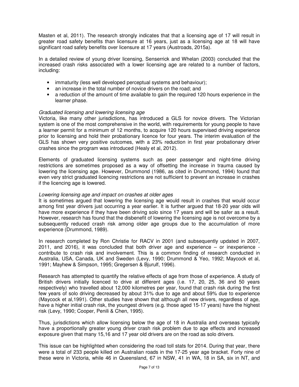Masten et al, 2011). The research strongly indicates that that a licensing age of 17 will result in greater road safety benefits than licensure at 16 years, just as a licensing age at 18 will have significant road safety benefits over licensure at 17 years (Austroads, 2015a).

In a detailed review of young driver licensing, Senserrick and Whelan (2003) concluded that the increased crash risks associated with a lower licensing age are related to a number of factors, including:

- immaturity (less well developed perceptual systems and behaviour);
- an increase in the total number of novice drivers on the road; and
- a reduction of the amount of time available to gain the required 120 hours experience in the learner phase.

#### *Graduated licensing and lowering licensing age*

Victoria, like many other jurisdictions, has introduced a GLS for novice drivers. The Victorian system is one of the most comprehensive in the world, with requirements for young people to have a learner permit for a minimum of 12 months, to acquire 120 hours supervised driving experience prior to licensing and hold their probationary licence for four years. The interim evaluation of the GLS has shown very positive outcomes, with a 23% reduction in first year probationary driver crashes since the program was introduced (Healy et al, 2012).

Elements of graduated licensing systems such as peer passenger and night-time driving restrictions are sometimes proposed as a way of offsetting the increase in trauma caused by lowering the licensing age. However, Drummond (1986, as cited in Drummond, 1994) found that even very strict graduated licencing restrictions are not sufficient to prevent an increase in crashes if the licencing age is lowered.

#### *Lowering licensing age and impact on crashes at older ages*

It is sometimes argued that lowering the licensing age would result in crashes that would occur among first year drivers just occurring a year earlier. It is further argued that 18-20 year olds will have more experience if they have been driving solo since 17 years and will be safer as a result. However, research has found that the disbenefit of lowering the licensing age is not overcome by a subsequently reduced crash risk among older age groups due to the accumulation of more experience (Drummond, 1989).

In research completed by Ron Christie for RACV in 2001 (and subsequently updated in 2007, 2011, and 2016), it was concluded that both driver age and experience – or inexperience contribute to crash risk and involvement. This is a common finding of research conducted in Australia, USA, Canada, UK and Sweden (Levy, 1990; Drummond & Yeo, 1992; Maycock et al, 1991; Mayhew & Simpson, 1995; Gregersen & Bjurulf, 1996).

Research has attempted to quantify the relative effects of age from those of experience. A study of British drivers initially licenced to drive at different ages (i.e. 17, 20, 25, 36 and 50 years respectively) who travelled about 12,000 kilometres per year, found that crash risk during the first few years of solo driving decreased by about 31% due to age and about 59% due to experience (Maycock et al,1991). Other studies have shown that although all new drivers, regardless of age, have a higher initial crash risk, the youngest drivers (e.g. those aged 15-17 years) have the highest risk (Levy, 1990; Cooper, Penili & Chen, 1995).

Thus, jurisdictions which allow licensing below the age of 18 in Australia and overseas typically have a proportionally greater young driver crash risk problem due to age effects and increased exposure given that many 15,16 and 17 year old drivers are on the road as solo drivers.

This issue can be highlighted when considering the road toll stats for 2014. During that year, there were a total of 233 people killed on Australian roads in the 17-25 year age bracket. Forty nine of these were in Victoria, while 46 in Queensland, 67 in NSW, 41 in WA, 18 in SA, six in NT, and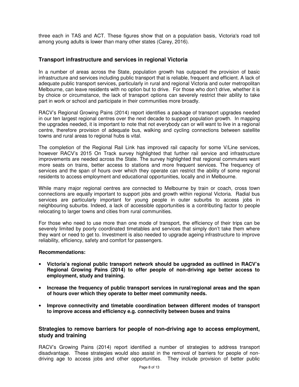three each in TAS and ACT. These figures show that on a population basis, Victoria's road toll among young adults is lower than many other states (Carey, 2016).

## **Transport infrastructure and services in regional Victoria**

In a number of areas across the State, population growth has outpaced the provision of basic infrastructure and services including public transport that is reliable, frequent and efficient. A lack of adequate public transport services, particularly in rural and regional Victoria and outer metropolitan Melbourne, can leave residents with no option but to drive. For those who don't drive, whether it is by choice or circumstance, the lack of transport options can severely restrict their ability to take part in work or school and participate in their communities more broadly.

RACV's Regional Growing Pains (2014) report identifies a package of transport upgrades needed in our ten largest regional centres over the next decade to support population growth. In mapping the upgrades needed, it is important to note that not everybody can or will want to live in a regional centre, therefore provision of adequate bus, walking and cycling connections between satellite towns and rural areas to regional hubs is vital.

The completion of the Regional Rail Link has improved rail capacity for some V/Line services, however RACV's 2015 On Track survey highlighted that further rail service and infrastructure improvements are needed across the State. The survey highlighted that regional commuters want more seats on trains, better access to stations and more frequent services. The frequency of services and the span of hours over which they operate can restrict the ability of some regional residents to access employment and educational opportunities, locally and in Melbourne.

While many major regional centres are connected to Melbourne by train or coach, cross town connections are equally important to support jobs and growth within regional Victoria. Radial bus services are particularly important for young people in outer suburbs to access jobs in neighbouring suburbs. Indeed, a lack of accessible opportunities is a contributing factor to people relocating to larger towns and cities from rural communities.

For those who need to use more than one mode of transport, the efficiency of their trips can be severely limited by poorly coordinated timetables and services that simply don't take them where they want or need to get to. Investment is also needed to upgrade ageing infrastructure to improve reliability, efficiency, safety and comfort for passengers.

#### **Recommendations:**

- **Victoria's regional public transport network should be upgraded as outlined in RACV's Regional Growing Pains (2014) to offer people of non-driving age better access to employment, study and training.**
- **Increase the frequency of public transport services in rural/regional areas and the span of hours over which they operate to better meet community needs.**
- **Improve connectivity and timetable coordination between different modes of transport to improve access and efficiency e.g. connectivity between buses and trains**

### **Strategies to remove barriers for people of non-driving age to access employment, study and training**

RACV's Growing Pains (2014) report identified a number of strategies to address transport disadvantage. These strategies would also assist in the removal of barriers for people of nondriving age to access jobs and other opportunities. They include provision of better public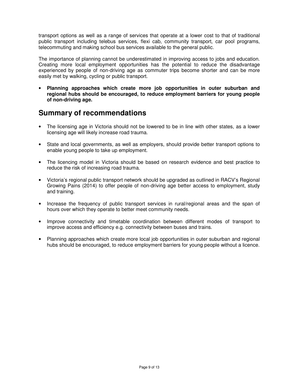transport options as well as a range of services that operate at a lower cost to that of traditional public transport including telebus services, flexi cab, community transport, car pool programs, telecommuting and making school bus services available to the general public.

The importance of planning cannot be underestimated in improving access to jobs and education. Creating more local employment opportunities has the potential to reduce the disadvantage experienced by people of non-driving age as commuter trips become shorter and can be more easily met by walking, cycling or public transport.

• **Planning approaches which create more job opportunities in outer suburban and regional hubs should be encouraged, to reduce employment barriers for young people of non-driving age.** 

# **Summary of recommendations**

- The licensing age in Victoria should not be lowered to be in line with other states, as a lower licensing age will likely increase road trauma.
- State and local governments, as well as employers, should provide better transport options to enable young people to take up employment.
- The licencing model in Victoria should be based on research evidence and best practice to reduce the risk of increasing road trauma.
- Victoria's regional public transport network should be upgraded as outlined in RACV's Regional Growing Pains (2014) to offer people of non-driving age better access to employment, study and training.
- Increase the frequency of public transport services in rural/regional areas and the span of hours over which they operate to better meet community needs.
- Improve connectivity and timetable coordination between different modes of transport to improve access and efficiency e.g. connectivity between buses and trains.
- Planning approaches which create more local job opportunities in outer suburban and regional hubs should be encouraged, to reduce employment barriers for young people without a licence.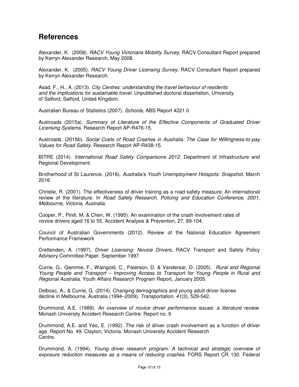# **References**

Alexander, K. (2008). *RACV Young Victorians Mobility Survey,* RACV Consultant Report prepared by Kerryn Alexander Research, May 2008.

Alexander, K. (2005). *RACV Young Driver Licensing Survey*, RACV Consultant Report prepared by Kerryn Alexander Research.

Asad, F., H., A. (2013). *City Centres: understanding the travel behaviour of residents and the implications for sustainable travel*. Unpublished doctoral dissertation, University of Salford, Salford, United Kingdom.

Australian Bureau of Statistics (2007). *Schools*, ABS Report 4221.0

Austroads (2015a). *Summary of Literature of the Effective Components of Graduated Driver Licensing Systems.* Research Report AP-R476-15.

Austroads. (2015b). *Social Costs of Road Crashes in Australia: The Case for Willingness-to-pay Values for Road Safety.* Research Report AP-R438-15.

BITRE (2014). *International Road Safety Comparisons 2012.* Department of Infrastructure and Regional Development.

Brotherhood of St Laurence. (2016). *Australia's Youth Unemployment Hotspots: Snapshot.* March 2016

Christie, R. (2001). The effectiveness of driver training as a road safety measure: An international review of the literature. In *Road Safety Research, Policing and Education Conference, 2001, Melbourne, Victoria, Australia*.

Cooper, P., Pinili, M. & Chen, W. (1995). An examination of the crash involvement rates of novice drivers aged 16 to 55. Accident Analysis & Prevention, 27, 89-104.

Council of Australian Governments (2012). Review of the National Education Agreement Performance Framework

Crettenden, A. (1997). *Driver Licensing: Novice Drivers*, RACV Transport and Safety Policy Advisory Committee Paper, September 1997.

Currie, G., Gammie, F., Waingold, C., Paterson, D. & Vandersar, D. (2005). *Rural and Regional Young People and Transport – Improving Access to Transport for Young People in Rural and Regional Australia*. Youth Affairs Research Program Report, January 2005.

Delbosc, A., & Currie, G. (2014). Changing demographics and young adult driver license decline in Melbourne, Australia (1994–2009). *Transportation*, *41*(3), 529-542.

Drummond, A.E. (1989). *An overview of novice driver performance issues: a literature review*. Monash University Accident Research Centre: Report no. 9

Drummond, A.E. and Yeo, E. (1992). The risk of driver crash involvement as a function of driver age. Report No. 49. Clayton, Victoria: Monash University Accident Research Centre.

Drummond, A. (1994). *Young driver research program: A technical and strategic overview of exposure reduction measures as a means of reducing crashes*. FORS Report CR 130. Federal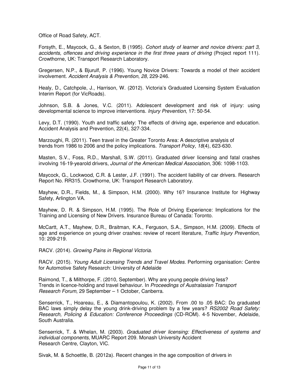Office of Road Safety, ACT.

Forsyth, E., Maycock, G., & Sexton, B (1995). *Cohort study of learner and novice drivers: part 3, accidents, offences and driving experience in the first three years of driving* (Project report 111). Crowthorne, UK: Transport Research Laboratory.

Gregersen, N.P., & Bjurulf, P. (1996). Young Novice Drivers: Towards a model of their accident involvement. *Accident Analysis & Prevention*, *28*, 229-246.

Healy, D., Catchpole, J., Harrison, W. (2012). Victoria's Graduated Licensing System Evaluation Interim Report (for VicRoads).

Johnson, S.B. & Jones, V.C. (2011). Adolescent development and risk of injury: using developmental science to improve interventions. *Injury Prevention*, 17: 50-54.

Levy, D.T. (1990). Youth and traffic safety: The effects of driving age, experience and education. Accident Analysis and Prevention, 22(4), 327-334.

Marzoughi, R. (2011). Teen travel in the Greater Toronto Area: A descriptive analysis of trends from 1986 to 2006 and the policy implications. *Transport Policy*, *18*(4), 623-630.

Masten, S.V., Foss, R.D., Marshall, S.W. (2011). Graduated driver licensing and fatal crashes involving 16-19-yearold drivers, *Journal of the American Medical Association*, 306: 1098-1103.

Maycock, G., Lockwood, C.R. & Lester, J.F. (1991). The accident liability of car drivers. Research Report No. RR315. Crowthorne, UK: Transport Research Laboratory.

Mayhew, D.R., Fields, M., & Simpson, H.M. (2000). Why 16? Insurance Institute for Highway Safety, Arlington VA.

Mayhew, D. R. & Simpson, H.M. (1995). The Role of Driving Experience: Implications for the Training and Licensing of New Drivers. Insurance Bureau of Canada: Toronto.

McCartt, A.T., Mayhew, D.R., Braitman, K.A., Ferguson, S.A., Simpson, H.M. (2009). Effects of age and experience on young driver crashes: review of recent literature, *Traffic Injury Prevention*, 10: 209-219.

RACV. (2014). *Growing Pains in Regional Victoria.* 

RACV. (2015). *Young Adult Licensing Trends and Travel Modes.* Performing organisation: Centre for Automotive Safety Research: University of Adelaide

Raimond, T., & Milthorpe, F. (2010, September). Why are young people driving less? Trends in licence-holding and travel behaviour. In *Proceedings of Australasian Transport Research Forum*, 29 September – 1 October, Canberra.

Senserrick, T., Hoareau, E., & Diamantopoulou, K. (2002). From .00 to .05 BAC: Do graduated BAC laws simply delay the young drink-driving problem by a few years? *RS2002 Road Safety: Research, Policing & Education: Conference Proceedings* (CD-ROM). 4-5 November, Adelaide, South Australia.

Senserrick, T. & Whelan, M. (2003). *Graduated driver licensing: Effectiveness of systems and individual components*, MUARC Report 209. Monash University Accident Research Centre, Clayton, VIC.

Sivak, M. & Schoettle, B. (2012a). Recent changes in the age composition of drivers in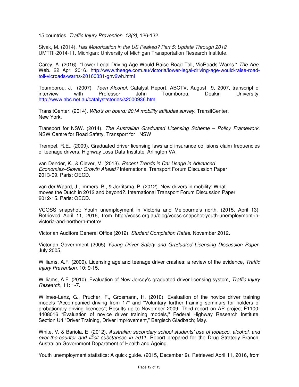15 countries. *Traffic Injury Prevention, 13(2),* 126-132.

Sivak, M. (2014). *Has Motorization in the US Peaked? Part 5: Update Through 2012*. UMTRI-2014-11. Michigan: University of Michigan Transportation Research Institute.

Carey, A. (2016). "Lower Legal Driving Age Would Raise Road Toll, VicRoads Warns." *The Age*. Web. 22 Apr. 2016. http://www.theage.com.au/victoria/lower-legal-driving-age-would-raise-roadtoll-vicroads-warns-20160331-gnv2wh.html

Toumborou, J. (2007) *Teen Alcohol,* Catalyst Report, ABCTV, August 9, 2007, transcript of interview with Professor John Toumborou, Deakin University. http://www.abc.net.au/catalyst/stories/s2000936.htm

TransitCenter. (2014). *Who's on board: 2014 mobility attitudes survey.* TransitCenter, New York.

Transport for NSW. (2014). *The Australian Graduated Licensing Scheme – Policy Framework.*  NSW Centre for Road Safety, Transport for NSW

Trempel, R.E., (2009), Graduated driver licensing laws and insurance collisions claim frequencies of teenage drivers, Highway Loss Data Institute, Arlington VA.

van Dender, K., & Clever, M. (2013). *Recent Trends in Car Usage in Advanced Economies–Slower Growth Ahead?* International Transport Forum Discussion Paper 2013-09. Paris: OECD.

van der Waard, J., Immers, B., & Jorritsma, P. (2012). New drivers in mobility: What moves the Dutch in 2012 and beyond?. International Transport Forum Discussion Paper 2012-15. Paris: OECD.

VCOSS snapshot: Youth unemployment in Victoria and Melbourne's north. (2015, April 13). Retrieved April 11, 2016, from http://vcoss.org.au/blog/vcoss-snapshot-youth-unemployment-invictoria-and-northern-metro/

Victorian Auditors General Office (2012). *Student Completion Rates.* November 2012.

Victorian Government (2005) *Young Driver Safety and Graduated Licensing Discussion Paper*, July 2005.

Williams, A.F. (2009). Licensing age and teenage driver crashes: a review of the evidence, *Traffic Injury Prevention*, 10: 9-15.

Williams, A.F. (2010). Evaluation of New Jersey's graduated driver licensing system, *Traffic Injury Research*, 11: 1-7.

Willmes-Lenz, G., Prucher, F., Grosmann, H. (2010). Evaluation of the novice driver training models "Accompanied driving from 17" and "Voluntary further training seminars for holders of probationary driving licences"; Results up to November 2009, Third report on AP project F1100- 4408016 "Evaluation of novice driver training models," Federal Highway Research Institute, Section U4 "Driver Training, Driver Improvement," Bergisch Gladbach; May.

White, V, & Bariola, E. (2012). *Australian secondary school students' use of tobacco, alcohol, and over-the-counter and illicit substances in 2011.* Report prepared for the Drug Strategy Branch, Australian Government Department of Health and Ageing.

Youth unemployment statistics: A quick guide. (2015, December 9). Retrieved April 11, 2016, from